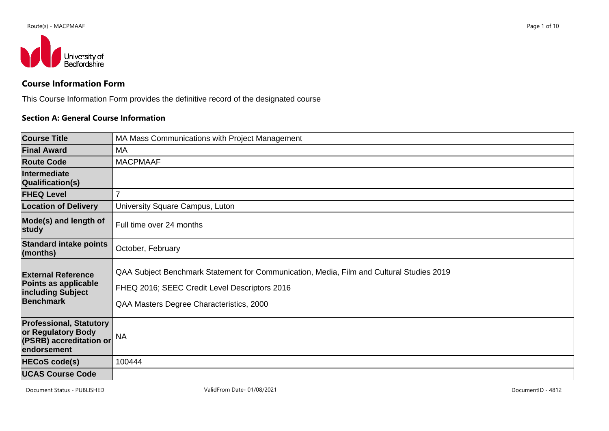

## **Course Information Form**

This Course Information Form provides the definitive record of the designated course

### **Section A: General Course Information**

| <b>Course Title</b>                                                                            | MA Mass Communications with Project Management                                                                                                                                        |
|------------------------------------------------------------------------------------------------|---------------------------------------------------------------------------------------------------------------------------------------------------------------------------------------|
| <b>Final Award</b>                                                                             | MA                                                                                                                                                                                    |
| <b>Route Code</b>                                                                              | <b>MACPMAAF</b>                                                                                                                                                                       |
| Intermediate<br>Qualification(s)                                                               |                                                                                                                                                                                       |
| <b>FHEQ Level</b>                                                                              | 7                                                                                                                                                                                     |
| <b>Location of Delivery</b>                                                                    | University Square Campus, Luton                                                                                                                                                       |
| Mode(s) and length of<br>study                                                                 | Full time over 24 months                                                                                                                                                              |
| <b>Standard intake points</b><br>$ $ (months)                                                  | October, February                                                                                                                                                                     |
| <b>External Reference</b><br>Points as applicable<br>including Subject<br>Benchmark            | QAA Subject Benchmark Statement for Communication, Media, Film and Cultural Studies 2019<br>FHEQ 2016; SEEC Credit Level Descriptors 2016<br>QAA Masters Degree Characteristics, 2000 |
| <b>Professional, Statutory</b><br>or Regulatory Body<br>(PSRB) accreditation or<br>endorsement | <b>NA</b>                                                                                                                                                                             |
| <b>HECoS code(s)</b>                                                                           | 100444                                                                                                                                                                                |
| <b>UCAS Course Code</b>                                                                        |                                                                                                                                                                                       |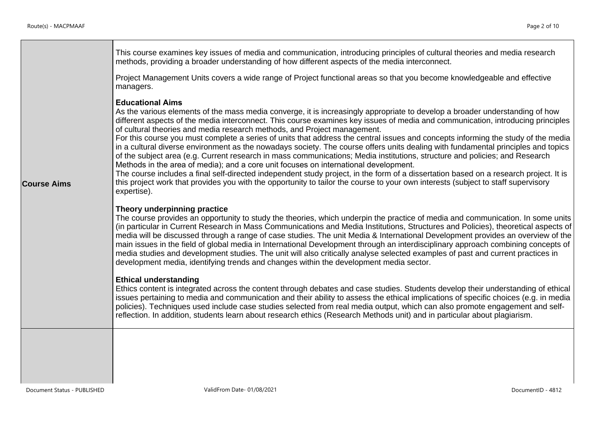| <b>Course Aims</b> | This course examines key issues of media and communication, introducing principles of cultural theories and media research<br>methods, providing a broader understanding of how different aspects of the media interconnect.<br>Project Management Units covers a wide range of Project functional areas so that you become knowledgeable and effective<br>managers.<br><b>Educational Aims</b><br>As the various elements of the mass media converge, it is increasingly appropriate to develop a broader understanding of how<br>different aspects of the media interconnect. This course examines key issues of media and communication, introducing principles<br>of cultural theories and media research methods, and Project management.<br>For this course you must complete a series of units that address the central issues and concepts informing the study of the media<br>in a cultural diverse environment as the nowadays society. The course offers units dealing with fundamental principles and topics<br>of the subject area (e.g. Current research in mass communications; Media institutions, structure and policies; and Research<br>Methods in the area of media); and a core unit focuses on international development.<br>The course includes a final self-directed independent study project, in the form of a dissertation based on a research project. It is<br>this project work that provides you with the opportunity to tailor the course to your own interests (subject to staff supervisory<br>expertise).<br>Theory underpinning practice<br>The course provides an opportunity to study the theories, which underpin the practice of media and communication. In some units<br>(in particular in Current Research in Mass Communications and Media Institutions, Structures and Policies), theoretical aspects of<br>media will be discussed through a range of case studies. The unit Media & International Development provides an overview of the<br>main issues in the field of global media in International Development through an interdisciplinary approach combining concepts of<br>media studies and development studies. The unit will also critically analyse selected examples of past and current practices in<br>development media, identifying trends and changes within the development media sector.<br><b>Ethical understanding</b><br>Ethics content is integrated across the content through debates and case studies. Students develop their understanding of ethical<br>issues pertaining to media and communication and their ability to assess the ethical implications of specific choices (e.g. in media<br>policies). Techniques used include case studies selected from real media output, which can also promote engagement and self-<br>reflection. In addition, students learn about research ethics (Research Methods unit) and in particular about plagiarism. |
|--------------------|--------------------------------------------------------------------------------------------------------------------------------------------------------------------------------------------------------------------------------------------------------------------------------------------------------------------------------------------------------------------------------------------------------------------------------------------------------------------------------------------------------------------------------------------------------------------------------------------------------------------------------------------------------------------------------------------------------------------------------------------------------------------------------------------------------------------------------------------------------------------------------------------------------------------------------------------------------------------------------------------------------------------------------------------------------------------------------------------------------------------------------------------------------------------------------------------------------------------------------------------------------------------------------------------------------------------------------------------------------------------------------------------------------------------------------------------------------------------------------------------------------------------------------------------------------------------------------------------------------------------------------------------------------------------------------------------------------------------------------------------------------------------------------------------------------------------------------------------------------------------------------------------------------------------------------------------------------------------------------------------------------------------------------------------------------------------------------------------------------------------------------------------------------------------------------------------------------------------------------------------------------------------------------------------------------------------------------------------------------------------------------------------------------------------------------------------------------------------------------------------------------------------------------------------------------------------------------------------------------------------------------------------------------------------------------------------------------------------------------------------------------------------------------------------------------------------------------------------------------------------------------------------------------------------------------------|
|                    |                                                                                                                                                                                                                                                                                                                                                                                                                                                                                                                                                                                                                                                                                                                                                                                                                                                                                                                                                                                                                                                                                                                                                                                                                                                                                                                                                                                                                                                                                                                                                                                                                                                                                                                                                                                                                                                                                                                                                                                                                                                                                                                                                                                                                                                                                                                                                                                                                                                                                                                                                                                                                                                                                                                                                                                                                                                                                                                                      |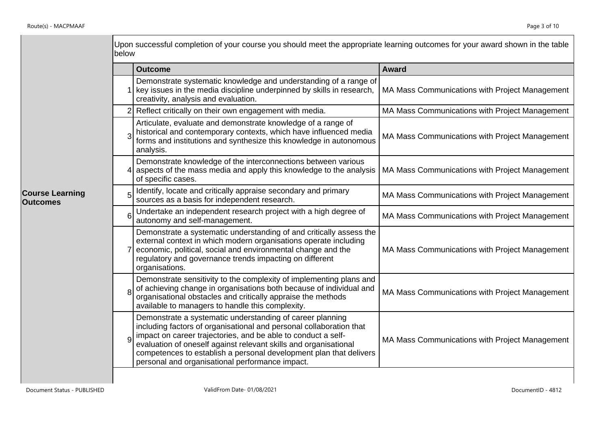Route(s) - MACPMAAF Page 3 of 10 Page 3 of 10 Page 3 of 10 Page 3 of 10 Page 3 of 10 Page 3 of 10 Page 3 of 10

П

|                                           | below | Upon successful completion of your course you should meet the appropriate learning outcomes for your award shown in the table                                                                                                                                                                                                                                                                  |                                                |
|-------------------------------------------|-------|------------------------------------------------------------------------------------------------------------------------------------------------------------------------------------------------------------------------------------------------------------------------------------------------------------------------------------------------------------------------------------------------|------------------------------------------------|
|                                           |       | <b>Outcome</b>                                                                                                                                                                                                                                                                                                                                                                                 | <b>Award</b>                                   |
|                                           |       | Demonstrate systematic knowledge and understanding of a range of<br>key issues in the media discipline underpinned by skills in research,<br>creativity, analysis and evaluation.                                                                                                                                                                                                              | MA Mass Communications with Project Management |
|                                           |       | Reflect critically on their own engagement with media.                                                                                                                                                                                                                                                                                                                                         | MA Mass Communications with Project Management |
|                                           | 3     | Articulate, evaluate and demonstrate knowledge of a range of<br>historical and contemporary contexts, which have influenced media<br>forms and institutions and synthesize this knowledge in autonomous<br>analysis.                                                                                                                                                                           | MA Mass Communications with Project Management |
|                                           |       | Demonstrate knowledge of the interconnections between various<br>aspects of the mass media and apply this knowledge to the analysis<br>of specific cases.                                                                                                                                                                                                                                      | MA Mass Communications with Project Management |
| <b>Course Learning</b><br><b>Outcomes</b> |       | Identify, locate and critically appraise secondary and primary<br>sources as a basis for independent research.                                                                                                                                                                                                                                                                                 | MA Mass Communications with Project Management |
|                                           | 6     | Undertake an independent research project with a high degree of<br>autonomy and self-management.                                                                                                                                                                                                                                                                                               | MA Mass Communications with Project Management |
|                                           |       | Demonstrate a systematic understanding of and critically assess the<br>external context in which modern organisations operate including<br>economic, political, social and environmental change and the<br>regulatory and governance trends impacting on different<br>organisations.                                                                                                           | MA Mass Communications with Project Management |
|                                           | 8     | Demonstrate sensitivity to the complexity of implementing plans and<br>of achieving change in organisations both because of individual and<br>organisational obstacles and critically appraise the methods<br>available to managers to handle this complexity.                                                                                                                                 | MA Mass Communications with Project Management |
|                                           | 9     | Demonstrate a systematic understanding of career planning<br>including factors of organisational and personal collaboration that<br>impact on career trajectories, and be able to conduct a self-<br>evaluation of oneself against relevant skills and organisational<br>competences to establish a personal development plan that delivers<br>personal and organisational performance impact. | MA Mass Communications with Project Management |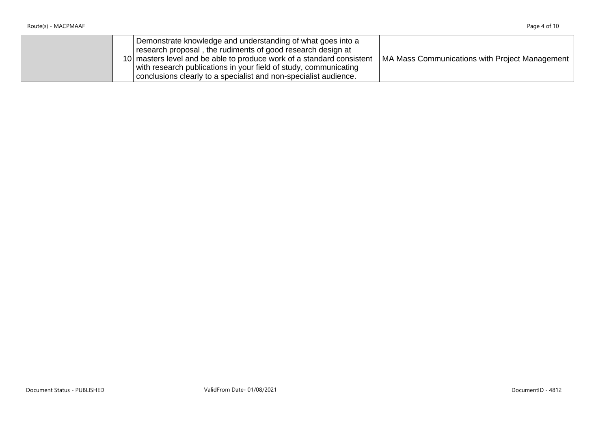|  |  | Demonstrate knowledge and understanding of what goes into a<br>research proposal, the rudiments of good research design at<br>10 masters level and be able to produce work of a standard consistent<br>with research publications in your field of study, communicating<br>conclusions clearly to a specialist and non-specialist audience. | MA Mass Communications with Project Management |
|--|--|---------------------------------------------------------------------------------------------------------------------------------------------------------------------------------------------------------------------------------------------------------------------------------------------------------------------------------------------|------------------------------------------------|
|--|--|---------------------------------------------------------------------------------------------------------------------------------------------------------------------------------------------------------------------------------------------------------------------------------------------------------------------------------------------|------------------------------------------------|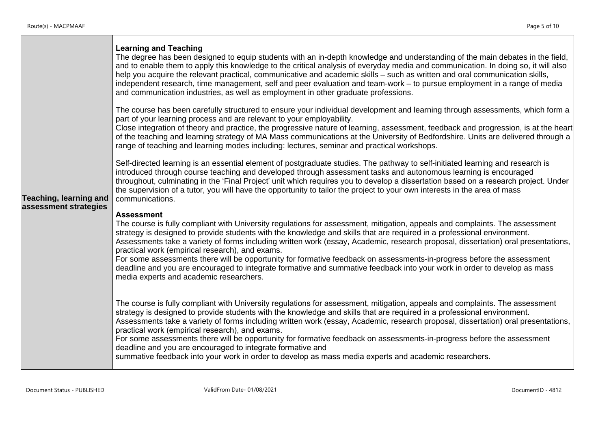| Teaching, learning and | <b>Learning and Teaching</b><br>The degree has been designed to equip students with an in-depth knowledge and understanding of the main debates in the field,<br>and to enable them to apply this knowledge to the critical analysis of everyday media and communication. In doing so, it will also<br>help you acquire the relevant practical, communicative and academic skills – such as written and oral communication skills,<br>independent research, time management, self and peer evaluation and team-work – to pursue employment in a range of media<br>and communication industries, as well as employment in other graduate professions.<br>The course has been carefully structured to ensure your individual development and learning through assessments, which form a<br>part of your learning process and are relevant to your employability.<br>Close integration of theory and practice, the progressive nature of learning, assessment, feedback and progression, is at the heart<br>of the teaching and learning strategy of MA Mass communications at the University of Bedfordshire. Units are delivered through a<br>range of teaching and learning modes including: lectures, seminar and practical workshops.<br>Self-directed learning is an essential element of postgraduate studies. The pathway to self-initiated learning and research is<br>introduced through course teaching and developed through assessment tasks and autonomous learning is encouraged<br>throughout, culminating in the 'Final Project' unit which requires you to develop a dissertation based on a research project. Under<br>the supervision of a tutor, you will have the opportunity to tailor the project to your own interests in the area of mass<br>communications. |
|------------------------|-------------------------------------------------------------------------------------------------------------------------------------------------------------------------------------------------------------------------------------------------------------------------------------------------------------------------------------------------------------------------------------------------------------------------------------------------------------------------------------------------------------------------------------------------------------------------------------------------------------------------------------------------------------------------------------------------------------------------------------------------------------------------------------------------------------------------------------------------------------------------------------------------------------------------------------------------------------------------------------------------------------------------------------------------------------------------------------------------------------------------------------------------------------------------------------------------------------------------------------------------------------------------------------------------------------------------------------------------------------------------------------------------------------------------------------------------------------------------------------------------------------------------------------------------------------------------------------------------------------------------------------------------------------------------------------------------------------------------------------------------------------------------------------|
| assessment strategies  | <b>Assessment</b><br>The course is fully compliant with University regulations for assessment, mitigation, appeals and complaints. The assessment<br>strategy is designed to provide students with the knowledge and skills that are required in a professional environment.<br>Assessments take a variety of forms including written work (essay, Academic, research proposal, dissertation) oral presentations,<br>practical work (empirical research), and exams.                                                                                                                                                                                                                                                                                                                                                                                                                                                                                                                                                                                                                                                                                                                                                                                                                                                                                                                                                                                                                                                                                                                                                                                                                                                                                                                |
|                        | For some assessments there will be opportunity for formative feedback on assessments-in-progress before the assessment<br>deadline and you are encouraged to integrate formative and summative feedback into your work in order to develop as mass<br>media experts and academic researchers.                                                                                                                                                                                                                                                                                                                                                                                                                                                                                                                                                                                                                                                                                                                                                                                                                                                                                                                                                                                                                                                                                                                                                                                                                                                                                                                                                                                                                                                                                       |
|                        | The course is fully compliant with University regulations for assessment, mitigation, appeals and complaints. The assessment<br>strategy is designed to provide students with the knowledge and skills that are required in a professional environment.<br>Assessments take a variety of forms including written work (essay, Academic, research proposal, dissertation) oral presentations,<br>practical work (empirical research), and exams.<br>For some assessments there will be opportunity for formative feedback on assessments-in-progress before the assessment<br>deadline and you are encouraged to integrate formative and<br>summative feedback into your work in order to develop as mass media experts and academic researchers.                                                                                                                                                                                                                                                                                                                                                                                                                                                                                                                                                                                                                                                                                                                                                                                                                                                                                                                                                                                                                                    |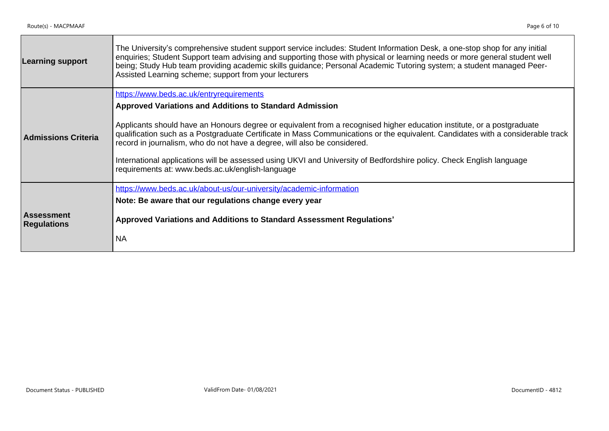| <b>Learning support</b>                 | The University's comprehensive student support service includes: Student Information Desk, a one-stop shop for any initial<br>enquiries; Student Support team advising and supporting those with physical or learning needs or more general student well<br>being; Study Hub team providing academic skills guidance; Personal Academic Tutoring system; a student managed Peer-<br>Assisted Learning scheme; support from your lecturers |
|-----------------------------------------|-------------------------------------------------------------------------------------------------------------------------------------------------------------------------------------------------------------------------------------------------------------------------------------------------------------------------------------------------------------------------------------------------------------------------------------------|
|                                         | https://www.beds.ac.uk/entryrequirements                                                                                                                                                                                                                                                                                                                                                                                                  |
|                                         | <b>Approved Variations and Additions to Standard Admission</b>                                                                                                                                                                                                                                                                                                                                                                            |
| <b>Admissions Criteria</b>              | Applicants should have an Honours degree or equivalent from a recognised higher education institute, or a postgraduate<br>qualification such as a Postgraduate Certificate in Mass Communications or the equivalent. Candidates with a considerable track<br>record in journalism, who do not have a degree, will also be considered.                                                                                                     |
|                                         | International applications will be assessed using UKVI and University of Bedfordshire policy. Check English language<br>requirements at: www.beds.ac.uk/english-language                                                                                                                                                                                                                                                                  |
|                                         | https://www.beds.ac.uk/about-us/our-university/academic-information                                                                                                                                                                                                                                                                                                                                                                       |
|                                         | Note: Be aware that our regulations change every year                                                                                                                                                                                                                                                                                                                                                                                     |
| <b>Assessment</b><br><b>Regulations</b> | Approved Variations and Additions to Standard Assessment Regulations'                                                                                                                                                                                                                                                                                                                                                                     |
|                                         | <b>NA</b>                                                                                                                                                                                                                                                                                                                                                                                                                                 |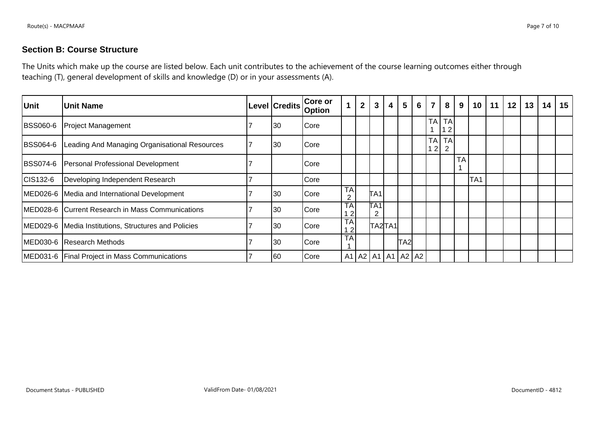### **Section B: Course Structure**

The Units which make up the course are listed below. Each unit contributes to the achievement of the course learning outcomes either through teaching (T), general development of skills and knowledge (D) or in your assessments (A).

| Unit            | <b>Unit Name</b>                                     | Level Credits | <b>Core or</b><br><b>Option</b> | 1 <sup>1</sup>              | $\overline{2}$ | $\mathbf{3}$       | $\overline{4}$ | 5 <sup>1</sup>                | $6 \mid 7 \mid$ | 8 <sup>1</sup> | 9         | 10 <sup>°</sup> | 11 | 12 | 13 | 14 | 15 |
|-----------------|------------------------------------------------------|---------------|---------------------------------|-----------------------------|----------------|--------------------|----------------|-------------------------------|-----------------|----------------|-----------|-----------------|----|----|----|----|----|
| <b>BSS060-6</b> | <b>Project Management</b>                            | 130           | Core                            |                             |                |                    |                |                               | TA TA           | 2              |           |                 |    |    |    |    |    |
| <b>BSS064-6</b> | Leading And Managing Organisational Resources        | 30            | Core                            |                             |                |                    |                |                               | 121             | TA TA          |           |                 |    |    |    |    |    |
|                 | BSS074-6   Personal Professional Development         |               | Core                            |                             |                |                    |                |                               |                 |                | <b>TA</b> |                 |    |    |    |    |    |
| CIS132-6        | Developing Independent Research                      |               | Core                            |                             |                |                    |                |                               |                 |                |           | TA <sub>1</sub> |    |    |    |    |    |
|                 | MED026-6 Media and International Development         | 30            | Core                            | <b>TA</b><br>$\overline{2}$ |                | TA1                |                |                               |                 |                |           |                 |    |    |    |    |    |
|                 | MED028-6 Current Research in Mass Communications     | 130           | Core                            | <b>TA</b><br>12             |                | TA1<br>2           |                |                               |                 |                |           |                 |    |    |    |    |    |
|                 | MED029-6 Media Institutions, Structures and Policies | 30            | Core                            | <b>TA</b><br>12             |                | TA2 <sub>TA1</sub> |                |                               |                 |                |           |                 |    |    |    |    |    |
|                 | MED030-6 Research Methods                            | 30            | Core                            | $T\overline{A}$             |                |                    |                | TA <sub>2</sub>               |                 |                |           |                 |    |    |    |    |    |
|                 | MED031-6   Final Project in Mass Communications      | 160           | Core                            |                             |                |                    |                | $A1$ $A2$ $A1$ $A1$ $A2$ $A2$ |                 |                |           |                 |    |    |    |    |    |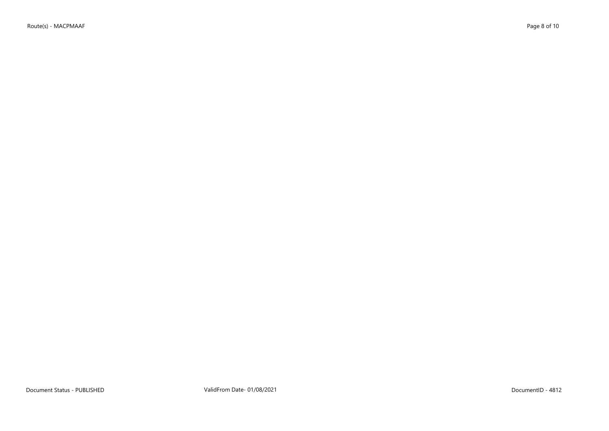Route(s) - MACPMAAF Page 8 of 10 Page 8 of 10 Page 8 of 10 Page 8 of 10 Page 8 of 10 Page 8 of 10 Page 8 of 10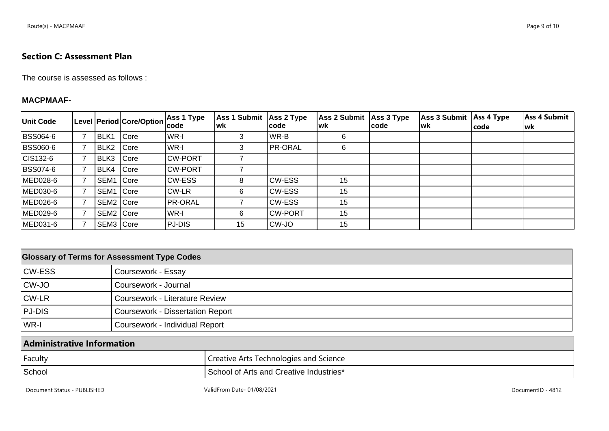# **Section C: Assessment Plan**

The course is assessed as follows :

#### **MACPMAAF-**

| <b>Unit Code</b> |   |                  | ILevel Period Core/Option Code | Ass 1 Type     | Ass 1 Submit   Ass 2 Type<br>lwk | Icode          | Ass 2 Submit   Ass 3 Type<br>lwk | Icode | Ass 3 Submit   Ass 4 Type<br>lwk | code | Ass 4 Submit<br>lwk |
|------------------|---|------------------|--------------------------------|----------------|----------------------------------|----------------|----------------------------------|-------|----------------------------------|------|---------------------|
| <b>BSS064-6</b>  | ⇁ | BLK1             | Core                           | WR-I           |                                  | WR-B           | 6                                |       |                                  |      |                     |
| <b>BSS060-6</b>  |   | BLK <sub>2</sub> | Core                           | WR-I           |                                  | PR-ORAL        | 6                                |       |                                  |      |                     |
| CIS132-6         |   | BLK3             | <b>Core</b>                    | <b>CW-PORT</b> |                                  |                |                                  |       |                                  |      |                     |
| <b>BSS074-6</b>  |   | BLK4             | Core                           | <b>CW-PORT</b> |                                  |                |                                  |       |                                  |      |                     |
| MED028-6         | ⇁ | SEM1   Core      |                                | CW-ESS         | 8                                | <b>CW-ESS</b>  | 15                               |       |                                  |      |                     |
| MED030-6         |   | SEM1 Core        |                                | CW-LR          | 6.                               | <b>CW-ESS</b>  | 15                               |       |                                  |      |                     |
| MED026-6         |   | SEM2 Core        |                                | <b>PR-ORAL</b> |                                  | <b>CW-ESS</b>  | 15                               |       |                                  |      |                     |
| MED029-6         |   | SEM2 Core        |                                | WR-I           | 6                                | <b>CW-PORT</b> | 15                               |       |                                  |      |                     |
| MED031-6         | ⇁ | SEM3   Core      |                                | PJ-DIS         | 15                               | CW-JO          | 15                               |       |                                  |      |                     |

| <b>Glossary of Terms for Assessment Type Codes</b> |                                  |  |  |  |  |
|----------------------------------------------------|----------------------------------|--|--|--|--|
| CW-ESS                                             | Coursework - Essay               |  |  |  |  |
| CW-JO                                              | l Coursework - Journal           |  |  |  |  |
| CW-LR                                              | Coursework - Literature Review   |  |  |  |  |
| $ P$ J-DIS                                         | Coursework - Dissertation Report |  |  |  |  |
| WR-I                                               | Coursework - Individual Report   |  |  |  |  |

| <b>Administrative Information</b> |                                         |  |  |  |  |  |  |
|-----------------------------------|-----------------------------------------|--|--|--|--|--|--|
| Faculty                           | Creative Arts Technologies and Science  |  |  |  |  |  |  |
| School                            | School of Arts and Creative Industries* |  |  |  |  |  |  |